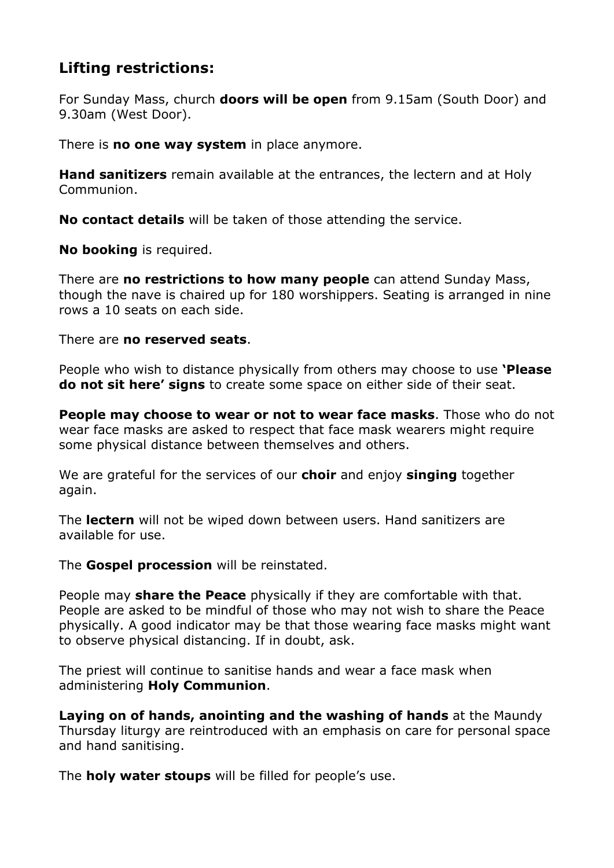## **Lifting restrictions:**

For Sunday Mass, church **doors will be open** from 9.15am (South Door) and 9.30am (West Door).

There is **no one way system** in place anymore.

**Hand sanitizers** remain available at the entrances, the lectern and at Holy Communion.

**No contact details** will be taken of those attending the service.

**No booking** is required.

There are **no restrictions to how many people** can attend Sunday Mass, though the nave is chaired up for 180 worshippers. Seating is arranged in nine rows a 10 seats on each side.

There are **no reserved seats**.

People who wish to distance physically from others may choose to use **'Please do not sit here' signs** to create some space on either side of their seat.

**People may choose to wear or not to wear face masks**. Those who do not wear face masks are asked to respect that face mask wearers might require some physical distance between themselves and others.

We are grateful for the services of our **choir** and enjoy **singing** together again.

The **lectern** will not be wiped down between users. Hand sanitizers are available for use.

The **Gospel procession** will be reinstated.

People may **share the Peace** physically if they are comfortable with that. People are asked to be mindful of those who may not wish to share the Peace physically. A good indicator may be that those wearing face masks might want to observe physical distancing. If in doubt, ask.

The priest will continue to sanitise hands and wear a face mask when administering **Holy Communion**.

**Laying on of hands, anointing and the washing of hands** at the Maundy Thursday liturgy are reintroduced with an emphasis on care for personal space and hand sanitising.

The **holy water stoups** will be filled for people's use.